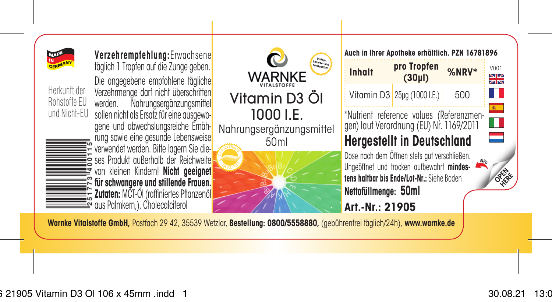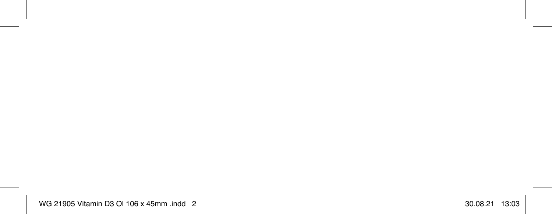WG 21905 Vitamin D3 OI 106 x 45mm .indd 2 30.08.21 13:03

and the contract of the contract of the contract of the contract of the contract of the contract of the contract of the contract of the contract of the contract of the contract of the contract of the contract of the contra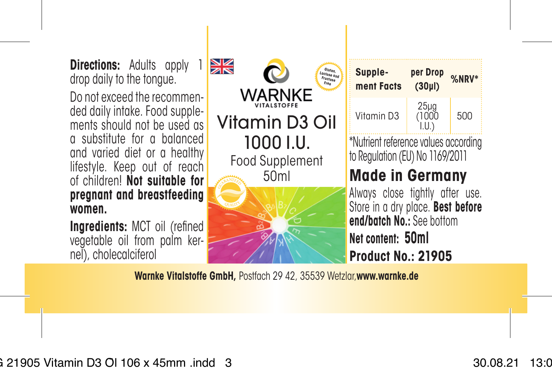**Directions:** Adults apply 1 drop daily to the tongue.

Do not exceed the recommended daily intake. Food supplements should not be used as a substitute for a balanced and varied diet or a healthy lifestyle. Keep out of reach of children! Not suitable for pregnant and breastfeeding women.

Ingredients: MCT oil (refined vegetable oil from palm kernel), cholecalciferol

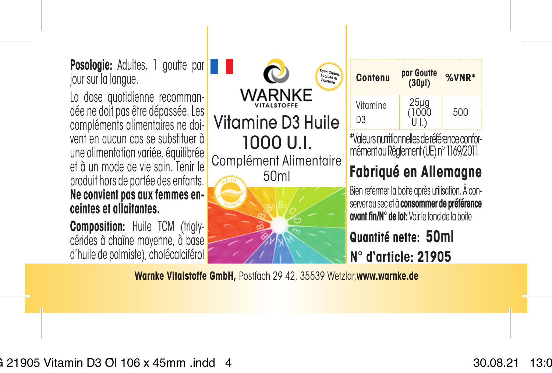**Posologie:** Adultes, 1 goutte par jour sur la langue.

La dose quotidienne recommandée ne doit pas être dépassée. Les compléments alimentaires ne doivent en aucun cas se substituer à une alimentation variée, équilibrée et à un mode de vie sain. Tenir le produit hors de portée des enfants. Ne convient pas aux femmes en ceintes et allaitantes.

Composition: Huile TCM (triglycérides à chaîne moyenne, à base d'huile de palmiste), cholécalciférol

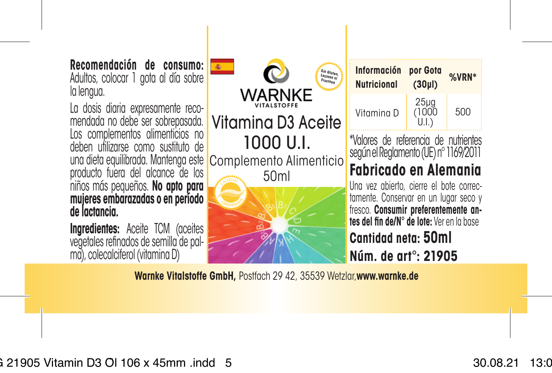Recomendación de consumo: Adultos, colocar 1 gota al día sobre la lengua.

La dosis diaria expresamente reco mendada no debe ser sobrepasada. Los complementos alimenticios no deben utilizarse como sustituto de una dieta equilibrada. Mantenga este producto fuera del alcance de los mujeres embarazadas o en período. de lactancia.

Ingredientes: Aceite TCM (aceites vegetales refinados de semilla de pal ma), colecalciferol (vitamina D)

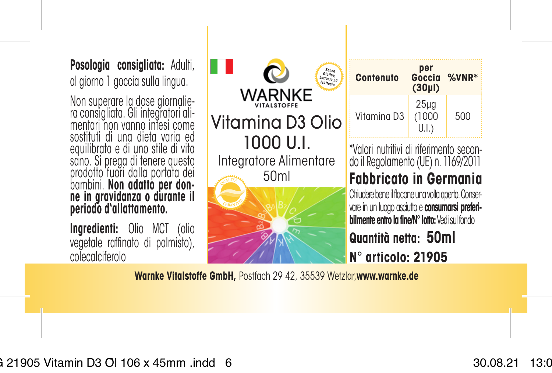Posologia consigliata: Adulti, al giorno 1 goccia sulla lingua.

Non superare la dose giornalie- ra consigliata. Gli integratori ali mentari non vanno intesi come sostituti di una dieta varia ed equilibrata e di uno stile di vita sano. Si prega di tenere questo prodotto fuori dalla portata dei bambini. Non adatto per don ne in gravidanza o durante il periodo d'allattamento.

Ingredienti: Olio MCT (olio vegetale raffinato di palmisto), colecalciferolo